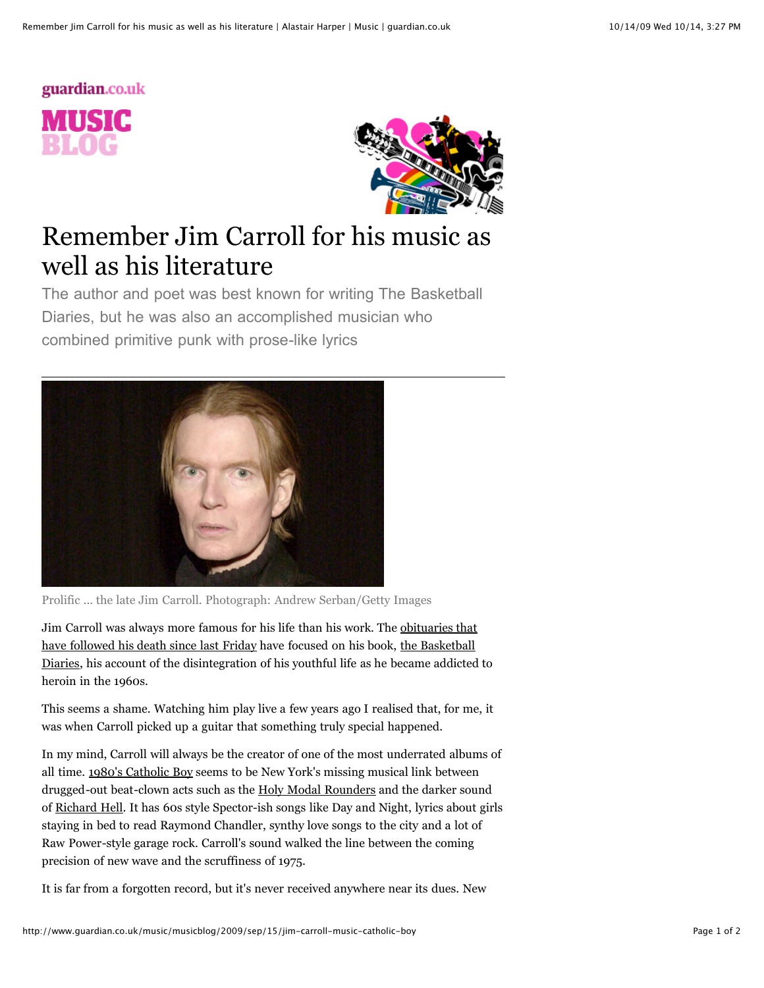# guardian.co.uk MUSIC



## Remember Jim Carroll for his music as well as his literature

The author and poet was best known for writing The Basketball Diaries, but he was also an accomplished musician who combined primitive punk with prose-like lyrics



Prolific ... the late Jim Carroll. Photograph: Andrew Serban/Getty Images

[Jim Carroll was always more famous for his life than his work. The obituaries that](http://www.nytimes.com/2009/09/14/books/14carroll.html)) have followed his death since last Friday have focused on his book, the Basketball [Diaries, his account of the disintegration of his youthful life as he became addicted](http://www.catholicboy.com/bd1.php) to heroin in the 1960s.

This seems a shame. Watching him play live a few years ago I realised that, for me, it was when Carroll picked up a guitar that something truly special happened.

In my mind, Carroll will always be the creator of one of the most underrated albums of all time. [1980's Catholic Boy](http://www.catholicboy.com/cboy.php) seems to be New York's missing musical link between drugged-out beat-clown acts such as the [Holy Modal Rounders](http://www.youtube.com/watch?v=osRM14sBZuY) and the darker sound of [Richard Hell](http://www.youtube.com/watch?v=Lx7bXk4N5no). It has 60s style Spector-ish songs like Day and Night, lyrics about girls staying in bed to read Raymond Chandler, synthy love songs to the city and a lot of Raw Power-style garage rock. Carroll's sound walked the line between the coming precision of new wave and the scruffiness of 1975.

It is far from a forgotten record, but it's never received anywhere near its dues. New